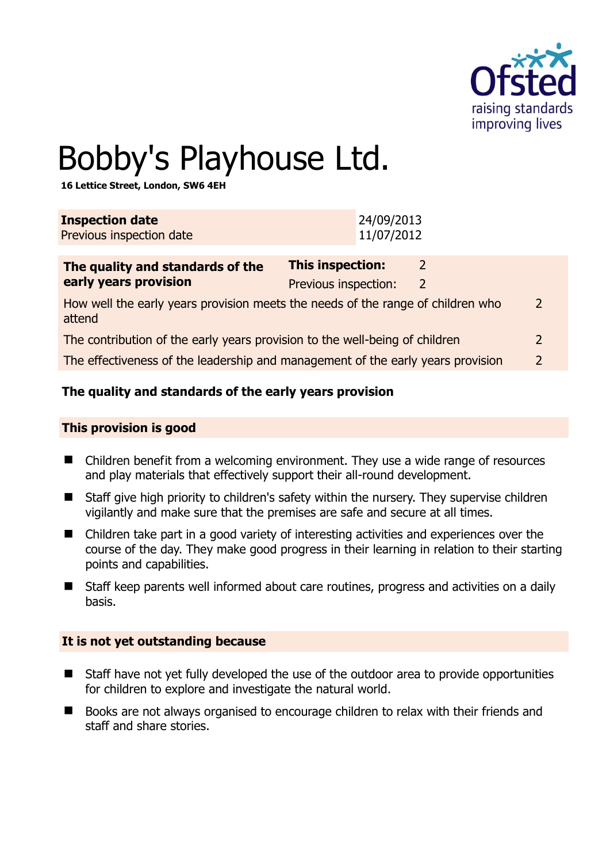

# Bobby's Playhouse Ltd.

**16 Lettice Street, London, SW6 4EH** 

| <b>Inspection date</b><br>Previous inspection date                                                                    | 24/09/2013<br>11/07/2012                           |  |
|-----------------------------------------------------------------------------------------------------------------------|----------------------------------------------------|--|
| The quality and standards of the<br>early years provision                                                             | This inspection:<br>2<br>Previous inspection:<br>2 |  |
| How well the early years provision meets the needs of the range of children who<br>$\overline{\phantom{a}}$<br>attend |                                                    |  |
| The contribution of the early years provision to the well-being of children                                           |                                                    |  |
| The effectiveness of the leadership and management of the early years provision<br>$\overline{2}$                     |                                                    |  |

# **The quality and standards of the early years provision**

#### **This provision is good**

- Children benefit from a welcoming environment. They use a wide range of resources and play materials that effectively support their all-round development.
- Staff give high priority to children's safety within the nursery. They supervise children vigilantly and make sure that the premises are safe and secure at all times.
- Children take part in a good variety of interesting activities and experiences over the course of the day. They make good progress in their learning in relation to their starting points and capabilities.
- Staff keep parents well informed about care routines, progress and activities on a daily basis.

#### **It is not yet outstanding because**

- Staff have not yet fully developed the use of the outdoor area to provide opportunities for children to explore and investigate the natural world.
- Books are not always organised to encourage children to relax with their friends and staff and share stories.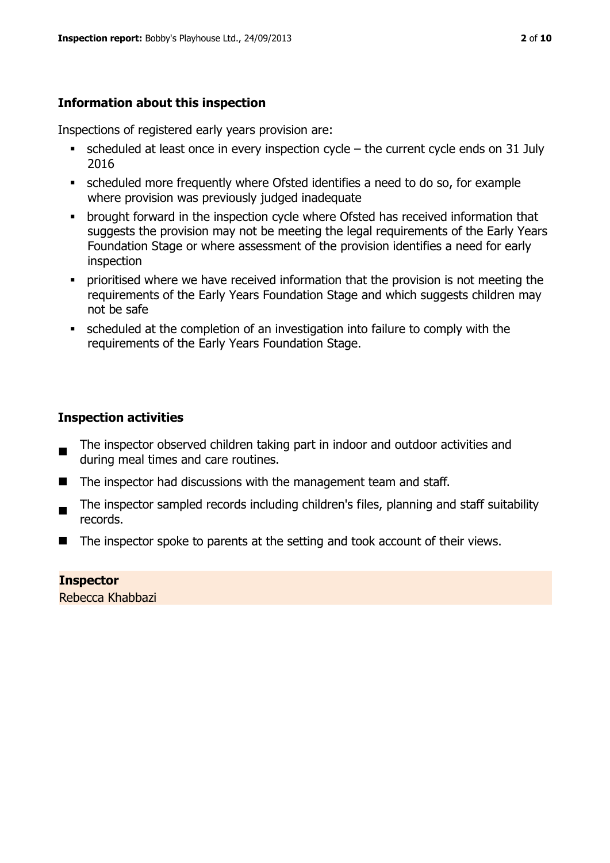# **Information about this inspection**

Inspections of registered early years provision are:

- $\blacksquare$  scheduled at least once in every inspection cycle the current cycle ends on 31 July 2016
- scheduled more frequently where Ofsted identifies a need to do so, for example where provision was previously judged inadequate
- **•** brought forward in the inspection cycle where Ofsted has received information that suggests the provision may not be meeting the legal requirements of the Early Years Foundation Stage or where assessment of the provision identifies a need for early inspection
- **•** prioritised where we have received information that the provision is not meeting the requirements of the Early Years Foundation Stage and which suggests children may not be safe
- scheduled at the completion of an investigation into failure to comply with the requirements of the Early Years Foundation Stage.

# **Inspection activities**

- The inspector observed children taking part in indoor and outdoor activities and during meal times and care routines.
- The inspector had discussions with the management team and staff.
- $\blacksquare$ The inspector sampled records including children's files, planning and staff suitability records.
- $\blacksquare$  The inspector spoke to parents at the setting and took account of their views.

**Inspector**  Rebecca Khabbazi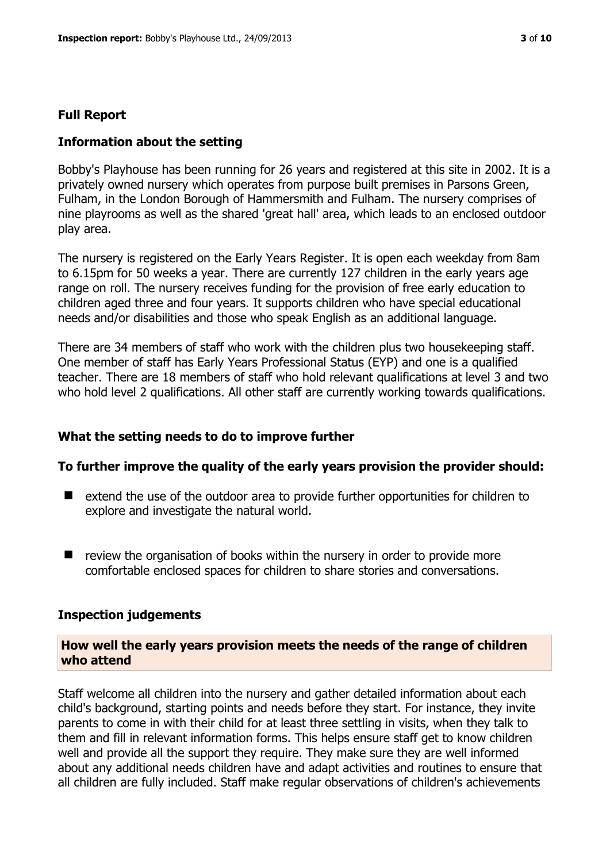#### **Full Report**

#### **Information about the setting**

Bobby's Playhouse has been running for 26 years and registered at this site in 2002. It is a privately owned nursery which operates from purpose built premises in Parsons Green, Fulham, in the London Borough of Hammersmith and Fulham. The nursery comprises of nine playrooms as well as the shared 'great hall' area, which leads to an enclosed outdoor play area.

The nursery is registered on the Early Years Register. It is open each weekday from 8am to 6.15pm for 50 weeks a year. There are currently 127 children in the early years age range on roll. The nursery receives funding for the provision of free early education to children aged three and four years. It supports children who have special educational needs and/or disabilities and those who speak English as an additional language.

There are 34 members of staff who work with the children plus two housekeeping staff. One member of staff has Early Years Professional Status (EYP) and one is a qualified teacher. There are 18 members of staff who hold relevant qualifications at level 3 and two who hold level 2 qualifications. All other staff are currently working towards qualifications.

#### **What the setting needs to do to improve further**

#### **To further improve the quality of the early years provision the provider should:**

- extend the use of the outdoor area to provide further opportunities for children to explore and investigate the natural world.
- review the organisation of books within the nursery in order to provide more comfortable enclosed spaces for children to share stories and conversations.

#### **Inspection judgements**

#### **How well the early years provision meets the needs of the range of children who attend**

Staff welcome all children into the nursery and gather detailed information about each child's background, starting points and needs before they start. For instance, they invite parents to come in with their child for at least three settling in visits, when they talk to them and fill in relevant information forms. This helps ensure staff get to know children well and provide all the support they require. They make sure they are well informed about any additional needs children have and adapt activities and routines to ensure that all children are fully included. Staff make regular observations of children's achievements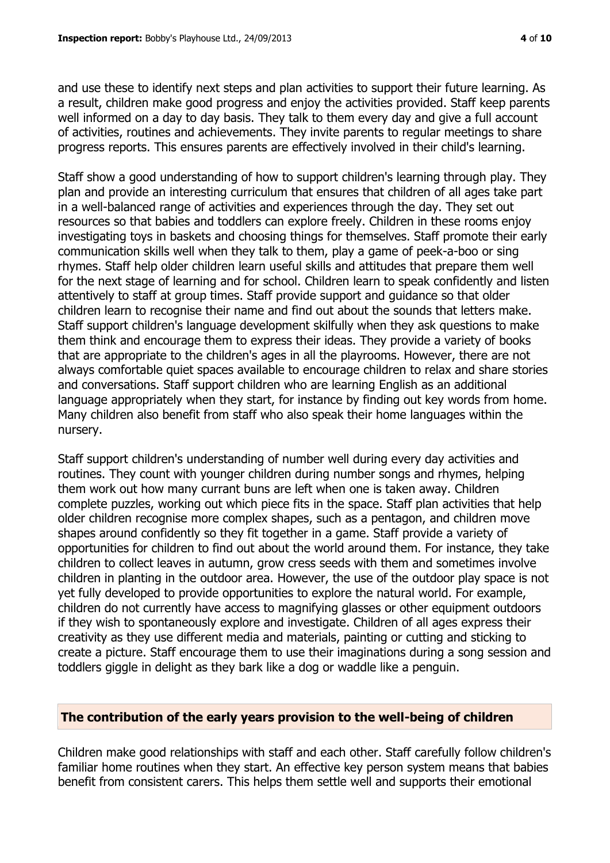and use these to identify next steps and plan activities to support their future learning. As a result, children make good progress and enjoy the activities provided. Staff keep parents well informed on a day to day basis. They talk to them every day and give a full account of activities, routines and achievements. They invite parents to regular meetings to share progress reports. This ensures parents are effectively involved in their child's learning.

Staff show a good understanding of how to support children's learning through play. They plan and provide an interesting curriculum that ensures that children of all ages take part in a well-balanced range of activities and experiences through the day. They set out resources so that babies and toddlers can explore freely. Children in these rooms enjoy investigating toys in baskets and choosing things for themselves. Staff promote their early communication skills well when they talk to them, play a game of peek-a-boo or sing rhymes. Staff help older children learn useful skills and attitudes that prepare them well for the next stage of learning and for school. Children learn to speak confidently and listen attentively to staff at group times. Staff provide support and guidance so that older children learn to recognise their name and find out about the sounds that letters make. Staff support children's language development skilfully when they ask questions to make them think and encourage them to express their ideas. They provide a variety of books that are appropriate to the children's ages in all the playrooms. However, there are not always comfortable quiet spaces available to encourage children to relax and share stories and conversations. Staff support children who are learning English as an additional language appropriately when they start, for instance by finding out key words from home. Many children also benefit from staff who also speak their home languages within the nursery.

Staff support children's understanding of number well during every day activities and routines. They count with younger children during number songs and rhymes, helping them work out how many currant buns are left when one is taken away. Children complete puzzles, working out which piece fits in the space. Staff plan activities that help older children recognise more complex shapes, such as a pentagon, and children move shapes around confidently so they fit together in a game. Staff provide a variety of opportunities for children to find out about the world around them. For instance, they take children to collect leaves in autumn, grow cress seeds with them and sometimes involve children in planting in the outdoor area. However, the use of the outdoor play space is not yet fully developed to provide opportunities to explore the natural world. For example, children do not currently have access to magnifying glasses or other equipment outdoors if they wish to spontaneously explore and investigate. Children of all ages express their creativity as they use different media and materials, painting or cutting and sticking to create a picture. Staff encourage them to use their imaginations during a song session and toddlers giggle in delight as they bark like a dog or waddle like a penguin.

#### **The contribution of the early years provision to the well-being of children**

Children make good relationships with staff and each other. Staff carefully follow children's familiar home routines when they start. An effective key person system means that babies benefit from consistent carers. This helps them settle well and supports their emotional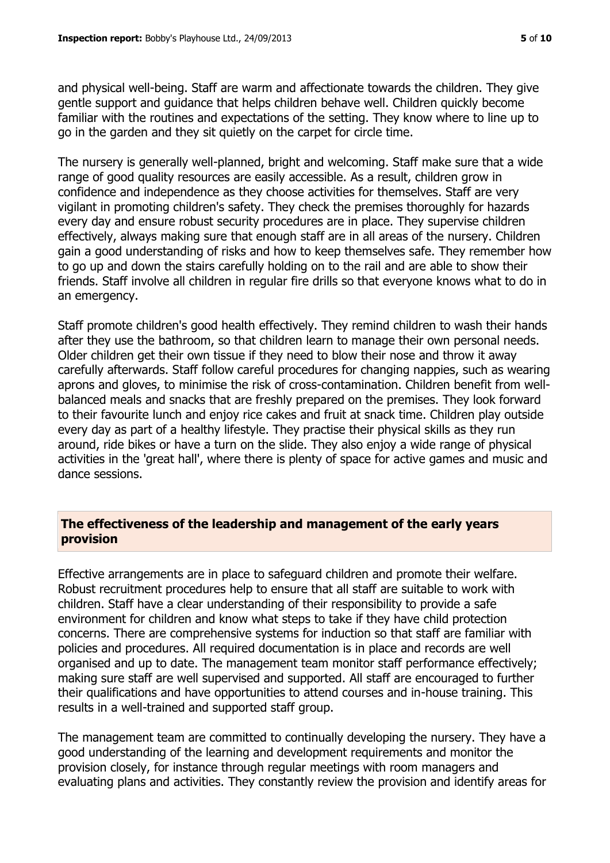and physical well-being. Staff are warm and affectionate towards the children. They give gentle support and guidance that helps children behave well. Children quickly become familiar with the routines and expectations of the setting. They know where to line up to go in the garden and they sit quietly on the carpet for circle time.

The nursery is generally well-planned, bright and welcoming. Staff make sure that a wide range of good quality resources are easily accessible. As a result, children grow in confidence and independence as they choose activities for themselves. Staff are very vigilant in promoting children's safety. They check the premises thoroughly for hazards every day and ensure robust security procedures are in place. They supervise children effectively, always making sure that enough staff are in all areas of the nursery. Children gain a good understanding of risks and how to keep themselves safe. They remember how to go up and down the stairs carefully holding on to the rail and are able to show their friends. Staff involve all children in regular fire drills so that everyone knows what to do in an emergency.

Staff promote children's good health effectively. They remind children to wash their hands after they use the bathroom, so that children learn to manage their own personal needs. Older children get their own tissue if they need to blow their nose and throw it away carefully afterwards. Staff follow careful procedures for changing nappies, such as wearing aprons and gloves, to minimise the risk of cross-contamination. Children benefit from wellbalanced meals and snacks that are freshly prepared on the premises. They look forward to their favourite lunch and enjoy rice cakes and fruit at snack time. Children play outside every day as part of a healthy lifestyle. They practise their physical skills as they run around, ride bikes or have a turn on the slide. They also enjoy a wide range of physical activities in the 'great hall', where there is plenty of space for active games and music and dance sessions.

#### **The effectiveness of the leadership and management of the early years provision**

Effective arrangements are in place to safeguard children and promote their welfare. Robust recruitment procedures help to ensure that all staff are suitable to work with children. Staff have a clear understanding of their responsibility to provide a safe environment for children and know what steps to take if they have child protection concerns. There are comprehensive systems for induction so that staff are familiar with policies and procedures. All required documentation is in place and records are well organised and up to date. The management team monitor staff performance effectively; making sure staff are well supervised and supported. All staff are encouraged to further their qualifications and have opportunities to attend courses and in-house training. This results in a well-trained and supported staff group.

The management team are committed to continually developing the nursery. They have a good understanding of the learning and development requirements and monitor the provision closely, for instance through regular meetings with room managers and evaluating plans and activities. They constantly review the provision and identify areas for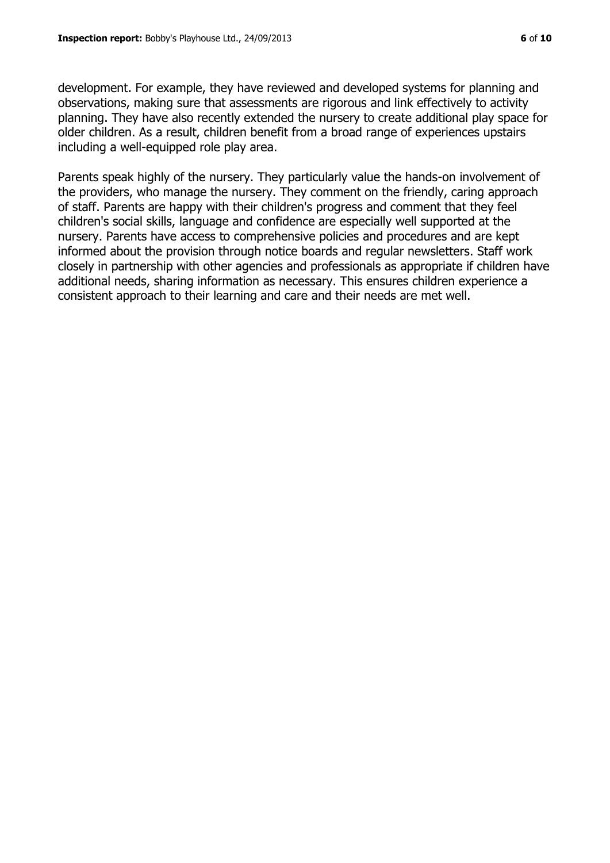development. For example, they have reviewed and developed systems for planning and observations, making sure that assessments are rigorous and link effectively to activity planning. They have also recently extended the nursery to create additional play space for older children. As a result, children benefit from a broad range of experiences upstairs including a well-equipped role play area.

Parents speak highly of the nursery. They particularly value the hands-on involvement of the providers, who manage the nursery. They comment on the friendly, caring approach of staff. Parents are happy with their children's progress and comment that they feel children's social skills, language and confidence are especially well supported at the nursery. Parents have access to comprehensive policies and procedures and are kept informed about the provision through notice boards and regular newsletters. Staff work closely in partnership with other agencies and professionals as appropriate if children have additional needs, sharing information as necessary. This ensures children experience a consistent approach to their learning and care and their needs are met well.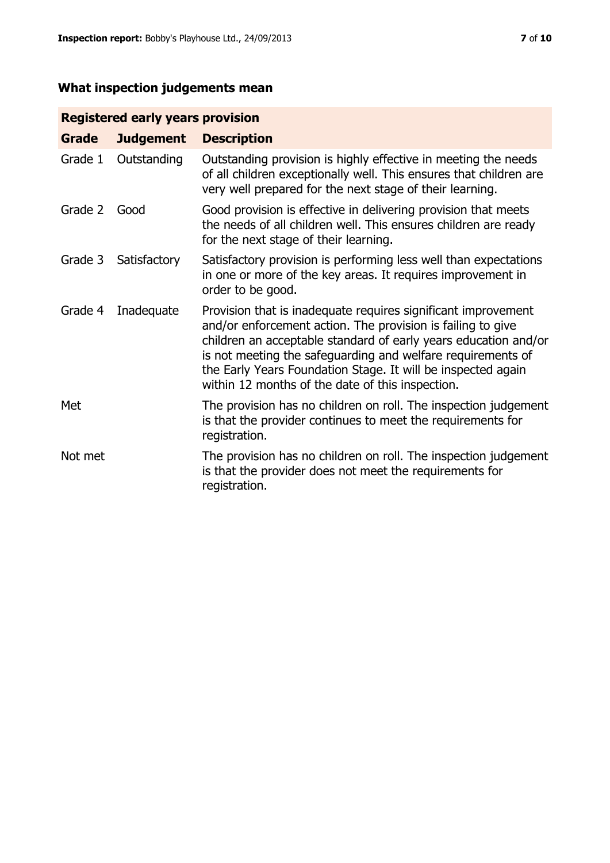# **What inspection judgements mean**

# **Registered early years provision**

| Grade   | <b>Judgement</b> | <b>Description</b>                                                                                                                                                                                                                                                                                                                                                                 |
|---------|------------------|------------------------------------------------------------------------------------------------------------------------------------------------------------------------------------------------------------------------------------------------------------------------------------------------------------------------------------------------------------------------------------|
| Grade 1 | Outstanding      | Outstanding provision is highly effective in meeting the needs<br>of all children exceptionally well. This ensures that children are<br>very well prepared for the next stage of their learning.                                                                                                                                                                                   |
| Grade 2 | Good             | Good provision is effective in delivering provision that meets<br>the needs of all children well. This ensures children are ready<br>for the next stage of their learning.                                                                                                                                                                                                         |
| Grade 3 | Satisfactory     | Satisfactory provision is performing less well than expectations<br>in one or more of the key areas. It requires improvement in<br>order to be good.                                                                                                                                                                                                                               |
| Grade 4 | Inadequate       | Provision that is inadequate requires significant improvement<br>and/or enforcement action. The provision is failing to give<br>children an acceptable standard of early years education and/or<br>is not meeting the safeguarding and welfare requirements of<br>the Early Years Foundation Stage. It will be inspected again<br>within 12 months of the date of this inspection. |
| Met     |                  | The provision has no children on roll. The inspection judgement<br>is that the provider continues to meet the requirements for<br>registration.                                                                                                                                                                                                                                    |
| Not met |                  | The provision has no children on roll. The inspection judgement<br>is that the provider does not meet the requirements for<br>registration.                                                                                                                                                                                                                                        |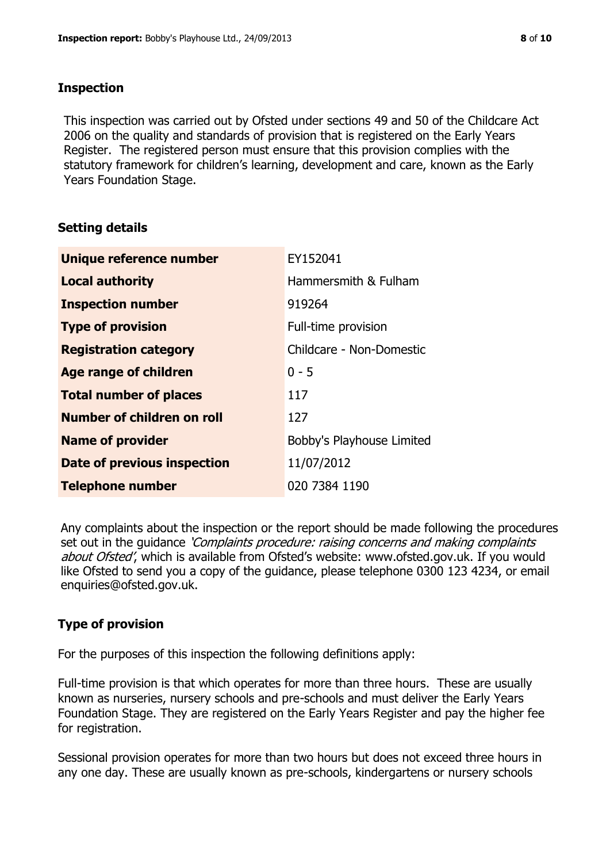#### **Inspection**

This inspection was carried out by Ofsted under sections 49 and 50 of the Childcare Act 2006 on the quality and standards of provision that is registered on the Early Years Register. The registered person must ensure that this provision complies with the statutory framework for children's learning, development and care, known as the Early Years Foundation Stage.

# **Setting details**

| Unique reference number       | EY152041                  |
|-------------------------------|---------------------------|
| <b>Local authority</b>        | Hammersmith & Fulham      |
| <b>Inspection number</b>      | 919264                    |
| <b>Type of provision</b>      | Full-time provision       |
| <b>Registration category</b>  | Childcare - Non-Domestic  |
| Age range of children         | $0 - 5$                   |
| <b>Total number of places</b> | 117                       |
| Number of children on roll    | 127                       |
| <b>Name of provider</b>       | Bobby's Playhouse Limited |
| Date of previous inspection   | 11/07/2012                |
| <b>Telephone number</b>       | 020 7384 1190             |

Any complaints about the inspection or the report should be made following the procedures set out in the guidance *'Complaints procedure: raising concerns and making complaints* about Ofsted', which is available from Ofsted's website: www.ofsted.gov.uk. If you would like Ofsted to send you a copy of the guidance, please telephone 0300 123 4234, or email enquiries@ofsted.gov.uk.

# **Type of provision**

For the purposes of this inspection the following definitions apply:

Full-time provision is that which operates for more than three hours. These are usually known as nurseries, nursery schools and pre-schools and must deliver the Early Years Foundation Stage. They are registered on the Early Years Register and pay the higher fee for registration.

Sessional provision operates for more than two hours but does not exceed three hours in any one day. These are usually known as pre-schools, kindergartens or nursery schools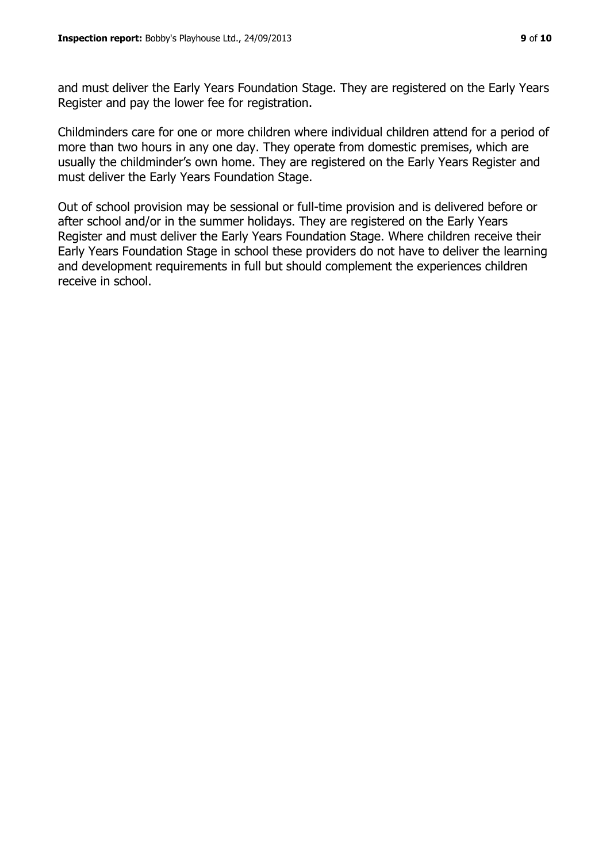and must deliver the Early Years Foundation Stage. They are registered on the Early Years Register and pay the lower fee for registration.

Childminders care for one or more children where individual children attend for a period of more than two hours in any one day. They operate from domestic premises, which are usually the childminder's own home. They are registered on the Early Years Register and must deliver the Early Years Foundation Stage.

Out of school provision may be sessional or full-time provision and is delivered before or after school and/or in the summer holidays. They are registered on the Early Years Register and must deliver the Early Years Foundation Stage. Where children receive their Early Years Foundation Stage in school these providers do not have to deliver the learning and development requirements in full but should complement the experiences children receive in school.